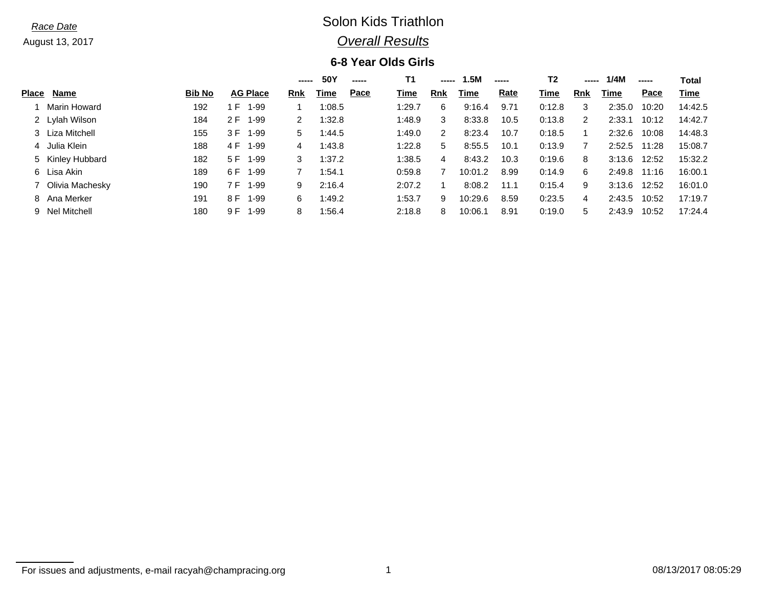## *Race Date* Solon Kids Triathlon *Overall Results*

### **6-8 Year Olds Girls**

|              |                   |               |      |                 | ----- | 50Y    | ----- | Τ1     | -----      | 1.5M    | ----- | Т2     | -----      | 1/4M         | ----- | Total   |
|--------------|-------------------|---------------|------|-----------------|-------|--------|-------|--------|------------|---------|-------|--------|------------|--------------|-------|---------|
| <b>Place</b> | <b>Name</b>       | <b>Bib No</b> |      | <b>AG Place</b> | Rnk   | Time   | Pace  | Time   | <b>Rnk</b> | Time    | Rate  | Time   | <b>Rnk</b> | Time         | Pace  | Time    |
|              | Marin Howard      | 192           | . F. | $1 - 99$        |       | 1:08.5 |       | 1:29.7 | 6          | 9:16.4  | 9.71  | 0:12.8 | 3          | 2:35.0       | 10:20 | 14:42.5 |
|              | 2 Lylah Wilson    | 184           | 2 F  | 1-99            | 2     | 1:32.8 |       | 1:48.9 | 3          | 8:33.8  | 10.5  | 0:13.8 | 2          | 2:33.1       | 10:12 | 14:42.7 |
|              | 3 Liza Mitchell   | 155           | 3 F  | 1-99            | 5.    | 1:44.5 |       | 1:49.0 | 2          | 8:23.4  | 10.7  | 0:18.5 |            | 2:32.6       | 10:08 | 14:48.3 |
|              | 4 Julia Klein     | 188           | 4 F  | 1-99            | 4     | 1:43.8 |       | 1:22.8 | 5          | 8:55.5  | 10.1  | 0:13.9 |            | 2:52.5 11:28 |       | 15:08.7 |
|              | 5 Kinley Hubbard  | 182           | 5 F  | 1-99            | 3     | 1:37.2 |       | 1:38.5 | 4          | 8:43.2  | 10.3  | 0:19.6 | 8          | 3:13.6       | 12:52 | 15:32.2 |
|              | 6 Lisa Akin       | 189           | 6 F  | 1-99            | 7     | 1:54.1 |       | 0:59.8 |            | 10:01.2 | 8.99  | 0:14.9 | 6          | 2:49.8       | 11:16 | 16:00.1 |
|              | 7 Olivia Machesky | 190           | 7 F  | 1-99            | 9     | 2:16.4 |       | 2:07.2 |            | 8:08.2  | 11.1  | 0:15.4 | 9          | 3:13.6       | 12:52 | 16:01.0 |
|              | 8 Ana Merker      | 191           | 8 F  | $1 - 99$        | 6     | 1:49.2 |       | 1:53.7 | 9          | 10:29.6 | 8.59  | 0:23.5 | 4          | 2:43.5       | 10:52 | 17:19.7 |
|              | 9 Nel Mitchell    | 180           | 9 F  | 1-99            | 8     | 1:56.4 |       | 2:18.8 | 8          | 10:06.1 | 8.91  | 0:19.0 | 5          | 2:43.9       | 10:52 | 17:24.4 |

For issues and adjustments, e-mail racyah@champracing.org 1 08/13/2017 08:05:29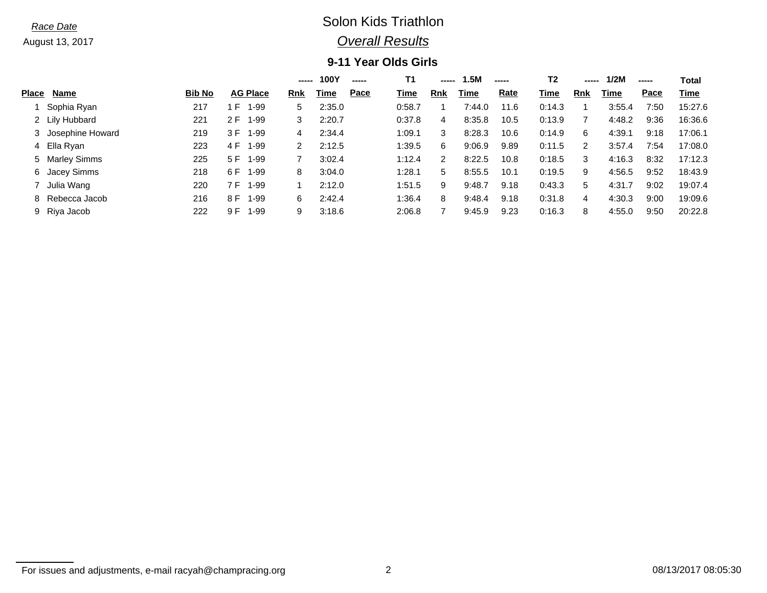## *Race Date* Solon Kids Triathlon *Overall Results*

## **9-11 Year Olds Girls**

|              |                    |               |          |                 | ----- | 100Y   | ----- | Τ1     | ----- | 1.5M   | ----- | Т2     | $\begin{array}{cccccccccccccc} \multicolumn{2}{c}{} & \multicolumn{2}{c}{} & \multicolumn{2}{c}{} & \multicolumn{2}{c}{} & \multicolumn{2}{c}{} & \multicolumn{2}{c}{} & \multicolumn{2}{c}{} & \multicolumn{2}{c}{} & \multicolumn{2}{c}{} & \multicolumn{2}{c}{} & \multicolumn{2}{c}{} & \multicolumn{2}{c}{} & \multicolumn{2}{c}{} & \multicolumn{2}{c}{} & \multicolumn{2}{c}{} & \multicolumn{2}{c}{} & \multicolumn{2}{c}{} & \multicolumn{2}{c}{} & \multicolumn{2}{c}{} & \$ | 1/2M   | ----- | Total   |
|--------------|--------------------|---------------|----------|-----------------|-------|--------|-------|--------|-------|--------|-------|--------|----------------------------------------------------------------------------------------------------------------------------------------------------------------------------------------------------------------------------------------------------------------------------------------------------------------------------------------------------------------------------------------------------------------------------------------------------------------------------------------|--------|-------|---------|
| <b>Place</b> | Name               | <b>Bib No</b> |          | <b>AG Place</b> | Rnk   | Time   | Pace  | Time   | Rnk   | Time   | Rate  | Time   | <b>Rnk</b>                                                                                                                                                                                                                                                                                                                                                                                                                                                                             | Time   | Pace  | Time    |
|              | Sophia Ryan        | 217           | F.       | $1 - 99$        | 5     | 2:35.0 |       | 0:58.7 |       | 7:44.0 | 11.6  | 0:14.3 |                                                                                                                                                                                                                                                                                                                                                                                                                                                                                        | 3:55.4 | 7:50  | 15:27.6 |
|              | 2 Lily Hubbard     | 221           | 2 F      | 1-99            | 3     | 2:20.7 |       | 0:37.8 | 4     | 8:35.8 | 10.5  | 0:13.9 |                                                                                                                                                                                                                                                                                                                                                                                                                                                                                        | 4:48.2 | 9:36  | 16:36.6 |
|              | 3 Josephine Howard | 219           | 3 F 1-99 |                 | 4     | 2:34.4 |       | 1:09.1 | 3     | 8:28.3 | 10.6  | 0:14.9 | 6                                                                                                                                                                                                                                                                                                                                                                                                                                                                                      | 4:39.1 | 9:18  | 17:06.1 |
|              | 4 Ella Ryan        | 223           | 4 F 1-99 |                 | 2     | 2:12.5 |       | 1:39.5 | 6     | 9:06.9 | 9.89  | 0:11.5 |                                                                                                                                                                                                                                                                                                                                                                                                                                                                                        | 3:57.4 | 7:54  | 17:08.0 |
|              | 5 Marley Simms     | 225           | 5 F 1-99 |                 |       | 3:02.4 |       | 1:12.4 |       | 8:22.5 | 10.8  | 0:18.5 | 3                                                                                                                                                                                                                                                                                                                                                                                                                                                                                      | 4:16.3 | 8:32  | 17:12.3 |
|              | 6 Jacey Simms      | 218           | 6 F 1-99 |                 | 8     | 3:04.0 |       | 1:28.1 | 5     | 8:55.5 | 10.1  | 0:19.5 | 9                                                                                                                                                                                                                                                                                                                                                                                                                                                                                      | 4:56.5 | 9:52  | 18:43.9 |
|              | Julia Wang         | 220           | 7 F J    | 1-99            |       | 2:12.0 |       | 1:51.5 | 9     | 9:48.7 | 9.18  | 0:43.3 | 5                                                                                                                                                                                                                                                                                                                                                                                                                                                                                      | 4:31.7 | 9:02  | 19:07.4 |
|              | 8 Rebecca Jacob    | 216           | 8 F      | 1-99            | 6     | 2:42.4 |       | 1:36.4 | 8     | 9:48.4 | 9.18  | 0:31.8 | 4                                                                                                                                                                                                                                                                                                                                                                                                                                                                                      | 4:30.3 | 9:00  | 19:09.6 |
|              | 9 Riya Jacob       | 222           | 9 F      | $1 - 99$        | 9     | 3:18.6 |       | 2:06.8 |       | 9:45.9 | 9.23  | 0:16.3 | 8                                                                                                                                                                                                                                                                                                                                                                                                                                                                                      | 4:55.0 | 9:50  | 20:22.8 |

For issues and adjustments, e-mail racyah@champracing.org 2 2 08/13/2017 08:05:30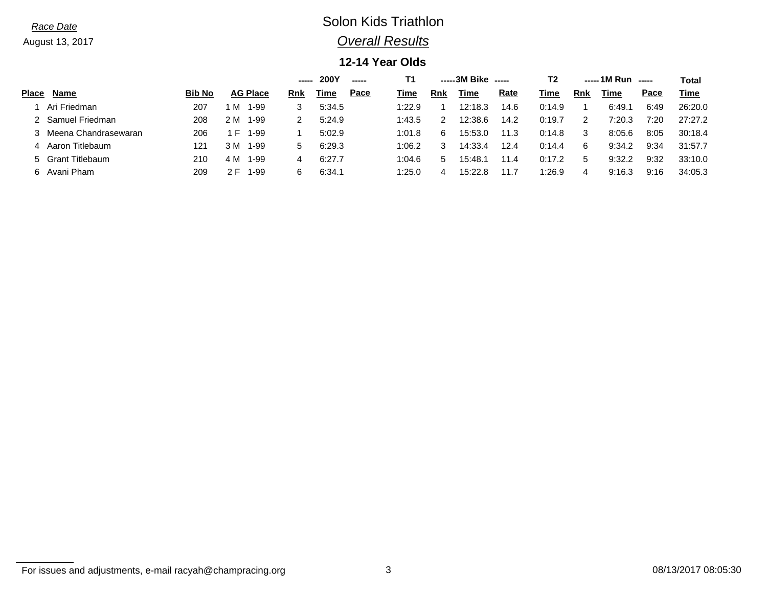# *Race Date* Solon Kids Triathlon *Overall Results*

## **12-14 Year Olds**

|              |                        |               |              |                 | <b>200Y</b><br>------<br>----- |        |      | -----3M Bike<br>Τ1<br>$- - - - -$ |              |         |      | Т2     | $---1M Run$ $---$ |        |      |         |  |
|--------------|------------------------|---------------|--------------|-----------------|--------------------------------|--------|------|-----------------------------------|--------------|---------|------|--------|-------------------|--------|------|---------|--|
| <b>Place</b> | <b>Name</b>            | <b>Bib No</b> |              | <b>AG Place</b> | Rnk                            | Гіmе   | Pace | Time                              | Rnk          | Time    | Rate | Time   | <b>Rnk</b>        | Time   | Pace | Time    |  |
|              | Ari Friedman           | 207           | M            | 1-99            |                                | 5:34.5 |      | 1:22.9                            |              | 12:18.3 | 14.6 | 0:14.9 |                   | 6:49.1 | 6:49 | 26:20.0 |  |
|              | 2 Samuel Friedman      | 208           | 2 M          | 1-99            |                                | 5:24.9 |      | 1:43.5                            |              | 12:38.6 | 14.2 | 0:19.7 |                   | 7:20.3 | 7:20 | 27:27.2 |  |
|              | 3 Meena Chandrasewaran | 206           | $\mathsf{H}$ | 1-99            |                                | 5:02.9 |      | 1:01.8                            |              | 15:53.0 | 11.3 | 0:14.8 |                   | 8:05.6 | 8:05 | 30:18.4 |  |
|              | 4 Aaron Titlebaum      | 121           | 3 M          | 1-99            | 5                              | 6:29.3 |      | 1:06.2                            |              | 14:33.4 | 12.4 | 0:14.4 | 6                 | 9:34.2 | 9:34 | 31:57.7 |  |
|              | 5 Grant Titlebaum      | 210           | 4 M          | 1-99            | 4                              | 6:27.7 |      | 1:04.6                            | $\mathbf{h}$ | 15:48.7 | 11.4 | 0:17.2 |                   | 9:32.2 | 9:32 | 33:10.0 |  |
|              | 6 Avani Pham           | 209           | ∠ F⊥         | 1-99            | 6                              | 6:34.1 |      | 1:25.0                            |              | 15:22.8 |      | l:26.9 | 4                 | 9:16.3 | 9:16 | 34:05.3 |  |

For issues and adjustments, e-mail racyah@champracing.org 3 08/13/2017 08:05:30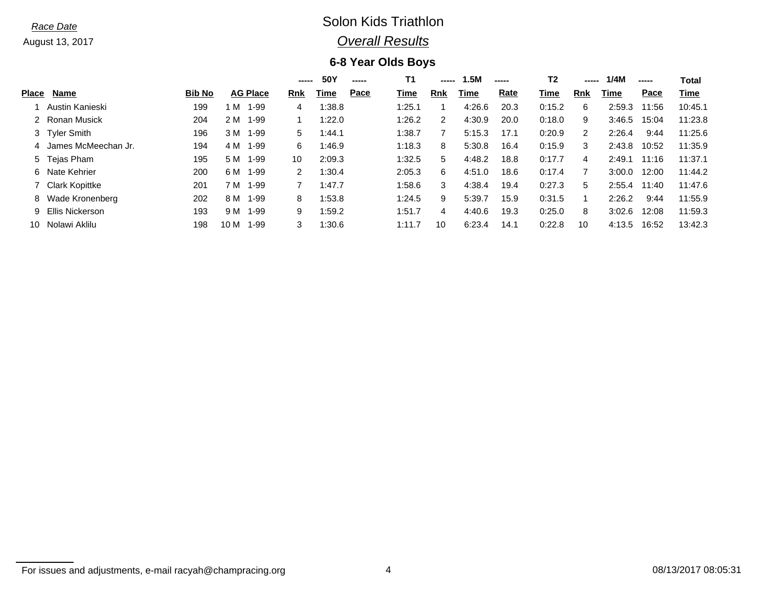## *Race Date* Solon Kids Triathlon *Overall Results*

## **6-8 Year Olds Boys**

|                     |                                                                                                                                          |      |          |                 | 50Y    | ----- | T1     |     | 1.5M   | ----- | Т2     |            | 1/4M   | -----                                                                  | Total            |
|---------------------|------------------------------------------------------------------------------------------------------------------------------------------|------|----------|-----------------|--------|-------|--------|-----|--------|-------|--------|------------|--------|------------------------------------------------------------------------|------------------|
| Name                | <b>Bib No</b>                                                                                                                            |      |          | Rnk             | Time   | Pace  | Time   | Rnk | Time   | Rate  | Time   | <b>Rnk</b> | Time   | Pace                                                                   | Time             |
| Austin Kanieski     | 199                                                                                                                                      | M    | $1 - 99$ | 4               | 1:38.8 |       | 1:25.1 |     | 4:26.6 | 20.3  | 0:15.2 | 6          | 2:59.3 | 11:56                                                                  | 10:45.1          |
|                     | 204                                                                                                                                      | 2 M  | $1 - 99$ |                 | 1:22.0 |       | 1:26.2 | 2   | 4:30.9 | 20.0  | 0:18.0 | 9          |        | 15:04                                                                  | 11:23.8          |
|                     | 196                                                                                                                                      | 3 M  | $1 - 99$ | 5               | 1:44.1 |       | 1:38.7 |     | 5:15.3 | 17.1  | 0:20.9 | 2          | 2:26.4 | 9:44                                                                   | 11:25.6          |
| James McMeechan Jr. | 194                                                                                                                                      | 4 M  | 1-99     | 6               | 1:46.9 |       | 1:18.3 | 8   | 5:30.8 | 16.4  | 0:15.9 | 3          |        | 10:52                                                                  | 11:35.9          |
|                     | 195                                                                                                                                      | 5 M  | $1 - 99$ | 10              | 2:09.3 |       | 1:32.5 | 5.  | 4:48.2 | 18.8  | 0:17.7 | 4          | 2:49.1 | 11:16                                                                  | 11:37.1          |
|                     | 200                                                                                                                                      | 6 M  | $1 - 99$ | 2               | 1:30.4 |       | 2:05.3 | 6   | 4:51.0 | 18.6  | 0:17.4 |            | 3:00.0 | 12:00                                                                  | 11:44.2          |
|                     | 201                                                                                                                                      | 7 M  | $1 - 99$ | 7               | 1:47.7 |       | 1:58.6 | 3   | 4:38.4 | 19.4  | 0:27.3 | 5          |        | 11:40                                                                  | 11:47.6          |
|                     | 202                                                                                                                                      | 8 M  | $1 - 99$ | 8               | 1:53.8 |       | 1:24.5 | 9   | 5:39.7 | 15.9  | 0:31.5 |            | 2:26.2 | 9:44                                                                   | 11:55.9          |
|                     | 193                                                                                                                                      | 9 M  | $1 - 99$ | 9               | 1:59.2 |       | 1:51.7 | 4   | 4:40.6 | 19.3  | 0:25.0 | 8          |        | 12:08                                                                  | 11:59.3          |
| Nolawi Aklilu       | 198                                                                                                                                      | 10 M | 1-99     | 3               | 1:30.6 |       | 1:11.7 | 10  | 6:23.4 | 14.1  | 0:22.8 | 10         |        | 16:52                                                                  | 13:42.3          |
| 4<br>10             | Place<br>2 Ronan Musick<br>3 Tyler Smith<br>5 Tejas Pham<br>6 Nate Kehrier<br>7 Clark Kopittke<br>8 Wade Kronenberg<br>9 Ellis Nickerson |      |          | <b>AG Place</b> |        | ----- |        |     |        |       |        |            |        | $\begin{array}{c} \textbf{} \end{array}$<br>3:46.5<br>3:02.6<br>4:13.5 | 2:43.8<br>2:55.4 |

For issues and adjustments, e-mail racyah@champracing.org 4 08/13/2017 08:05:31